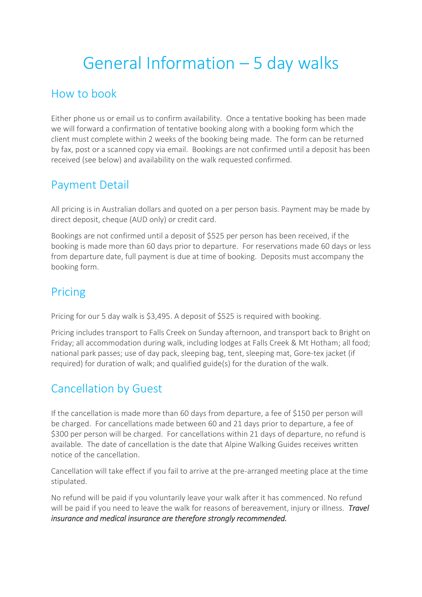# General Information – 5 day walks

## How to book

Either phone us or email us to confirm availability. Once a tentative booking has been made we will forward a confirmation of tentative booking along with a booking form which the client must complete within 2 weeks of the booking being made. The form can be returned by fax, post or a scanned copy via email. Bookings are not confirmed until a deposit has been received (see below) and availability on the walk requested confirmed.

### Payment Detail

All pricing is in Australian dollars and quoted on a per person basis. Payment may be made by direct deposit, cheque (AUD only) or credit card.

Bookings are not confirmed until a deposit of \$525 per person has been received, if the booking is made more than 60 days prior to departure. For reservations made 60 days or less from departure date, full payment is due at time of booking. Deposits must accompany the booking form.

# Pricing

Pricing for our 5 day walk is \$3,495. A deposit of \$525 is required with booking.

Pricing includes transport to Falls Creek on Sunday afternoon, and transport back to Bright on Friday; all accommodation during walk, including lodges at Falls Creek & Mt Hotham; all food; national park passes; use of day pack, sleeping bag, tent, sleeping mat, Gore-tex jacket (if required) for duration of walk; and qualified guide(s) for the duration of the walk.

# Cancellation by Guest

If the cancellation is made more than 60 days from departure, a fee of \$150 per person will be charged. For cancellations made between 60 and 21 days prior to departure, a fee of \$300 per person will be charged. For cancellations within 21 days of departure, no refund is available. The date of cancellation is the date that Alpine Walking Guides receives written notice of the cancellation.

Cancellation will take effect if you fail to arrive at the pre-arranged meeting place at the time stipulated.

No refund will be paid if you voluntarily leave your walk after it has commenced. No refund will be paid if you need to leave the walk for reasons of bereavement, injury or illness. *Travel insurance and medical insurance are therefore strongly recommended.*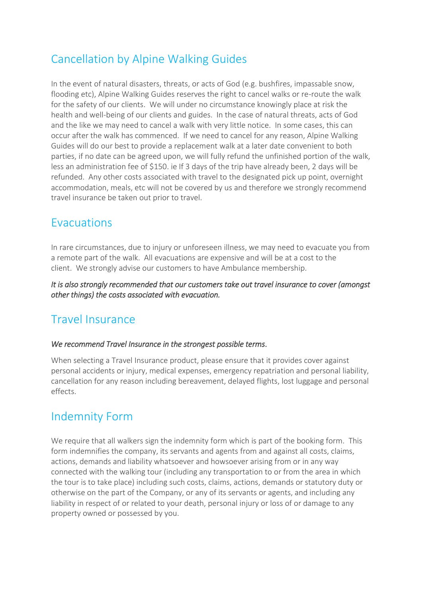# Cancellation by Alpine Walking Guides

In the event of natural disasters, threats, or acts of God (e.g. bushfires, impassable snow, flooding etc), Alpine Walking Guides reserves the right to cancel walks or re-route the walk for the safety of our clients. We will under no circumstance knowingly place at risk the health and well-being of our clients and guides. In the case of natural threats, acts of God and the like we may need to cancel a walk with very little notice. In some cases, this can occur after the walk has commenced. If we need to cancel for any reason, Alpine Walking Guides will do our best to provide a replacement walk at a later date convenient to both parties, if no date can be agreed upon, we will fully refund the unfinished portion of the walk, less an administration fee of \$150. ie If 3 days of the trip have already been, 2 days will be refunded. Any other costs associated with travel to the designated pick up point, overnight accommodation, meals, etc will not be covered by us and therefore we strongly recommend travel insurance be taken out prior to travel.

### Evacuations

In rare circumstances, due to injury or unforeseen illness, we may need to evacuate you from a remote part of the walk. All evacuations are expensive and will be at a cost to the client. We strongly advise our customers to have Ambulance membership.

*It is also strongly recommended that our customers take out travel insurance to cover (amongst other things) the costs associated with evacuation.* 

# Travel Insurance

#### *We recommend Travel Insurance in the strongest possible terms*.

When selecting a Travel Insurance product, please ensure that it provides cover against personal accidents or injury, medical expenses, emergency repatriation and personal liability, cancellation for any reason including bereavement, delayed flights, lost luggage and personal effects.

### Indemnity Form

We require that all walkers sign the indemnity form which is part of the booking form. This form indemnifies the company, its servants and agents from and against all costs, claims, actions, demands and liability whatsoever and howsoever arising from or in any way connected with the walking tour (including any transportation to or from the area in which the tour is to take place) including such costs, claims, actions, demands or statutory duty or otherwise on the part of the Company, or any of its servants or agents, and including any liability in respect of or related to your death, personal injury or loss of or damage to any property owned or possessed by you.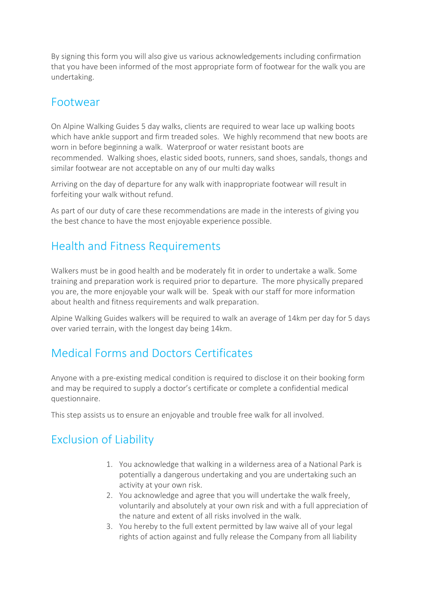By signing this form you will also give us various acknowledgements including confirmation that you have been informed of the most appropriate form of footwear for the walk you are undertaking.

### Footwear

On Alpine Walking Guides 5 day walks, clients are required to wear lace up walking boots which have ankle support and firm treaded soles. We highly recommend that new boots are worn in before beginning a walk. Waterproof or water resistant boots are recommended. Walking shoes, elastic sided boots, runners, sand shoes, sandals, thongs and similar footwear are not acceptable on any of our multi day walks

Arriving on the day of departure for any walk with inappropriate footwear will result in forfeiting your walk without refund.

As part of our duty of care these recommendations are made in the interests of giving you the best chance to have the most enjoyable experience possible.

# Health and Fitness Requirements

Walkers must be in good health and be moderately fit in order to undertake a walk. Some training and preparation work is required prior to departure. The more physically prepared you are, the more enjoyable your walk will be. Speak with our staff for more information about health and fitness requirements and walk preparation.

Alpine Walking Guides walkers will be required to walk an average of 14km per day for 5 days over varied terrain, with the longest day being 14km.

### Medical Forms and Doctors Certificates

Anyone with a pre-existing medical condition is required to disclose it on their booking form and may be required to supply a doctor's certificate or complete a confidential medical questionnaire.

This step assists us to ensure an enjoyable and trouble free walk for all involved.

# Exclusion of Liability

- 1. You acknowledge that walking in a wilderness area of a National Park is potentially a dangerous undertaking and you are undertaking such an activity at your own risk.
- 2. You acknowledge and agree that you will undertake the walk freely, voluntarily and absolutely at your own risk and with a full appreciation of the nature and extent of all risks involved in the walk.
- 3. You hereby to the full extent permitted by law waive all of your legal rights of action against and fully release the Company from all liability